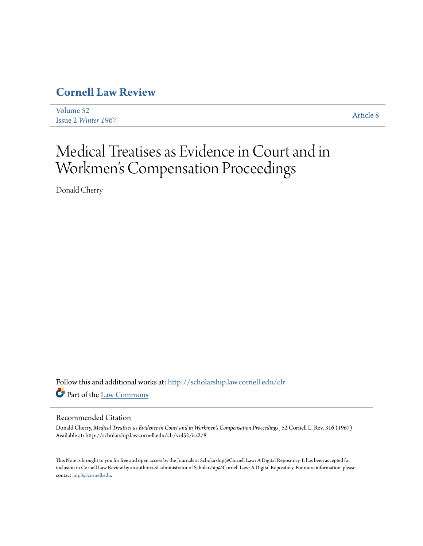## **[Cornell Law Review](http://scholarship.law.cornell.edu/clr?utm_source=scholarship.law.cornell.edu%2Fclr%2Fvol52%2Fiss2%2F8&utm_medium=PDF&utm_campaign=PDFCoverPages)**

[Volume 52](http://scholarship.law.cornell.edu/clr/vol52?utm_source=scholarship.law.cornell.edu%2Fclr%2Fvol52%2Fiss2%2F8&utm_medium=PDF&utm_campaign=PDFCoverPages) Issue 2 *[Winter 1967](http://scholarship.law.cornell.edu/clr/vol52/iss2?utm_source=scholarship.law.cornell.edu%2Fclr%2Fvol52%2Fiss2%2F8&utm_medium=PDF&utm_campaign=PDFCoverPages)* [Article 8](http://scholarship.law.cornell.edu/clr/vol52/iss2/8?utm_source=scholarship.law.cornell.edu%2Fclr%2Fvol52%2Fiss2%2F8&utm_medium=PDF&utm_campaign=PDFCoverPages)

# Medical Treatises as Evidence in Court and in Workmen 's Compensation Proceedings

Donald Cherry

Follow this and additional works at: [http://scholarship.law.cornell.edu/clr](http://scholarship.law.cornell.edu/clr?utm_source=scholarship.law.cornell.edu%2Fclr%2Fvol52%2Fiss2%2F8&utm_medium=PDF&utm_campaign=PDFCoverPages) Part of the [Law Commons](http://network.bepress.com/hgg/discipline/578?utm_source=scholarship.law.cornell.edu%2Fclr%2Fvol52%2Fiss2%2F8&utm_medium=PDF&utm_campaign=PDFCoverPages)

### Recommended Citation

Donald Cherry, *Medical Treatises as Evidence in Court and in Workmen's Compensation Proceedings* , 52 Cornell L. Rev. 316 (1967) Available at: http://scholarship.law.cornell.edu/clr/vol52/iss2/8

This Note is brought to you for free and open access by the Journals at Scholarship@Cornell Law: A Digital Repository. It has been accepted for inclusion in Cornell Law Review by an authorized administrator of Scholarship@Cornell Law: A Digital Repository. For more information, please contact [jmp8@cornell.edu.](mailto:jmp8@cornell.edu)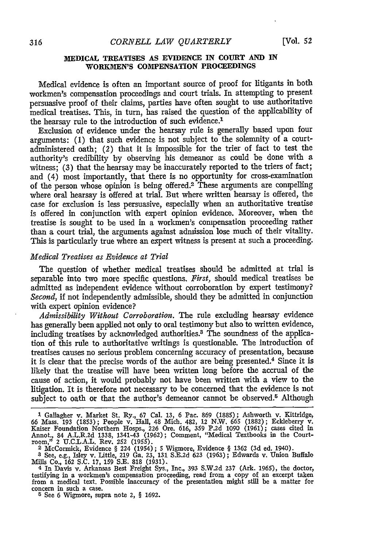#### **MEDICAL TREATISES AS EVIDENCE IN COURT AND IN WORKMEN'S COMPENSATION PROCEEDINGS**

Medical evidence is often an important source of proof for litigants in both workmen's compensation proceedings and court trials. In attempting to present persuasive proof of their claims, parties have often sought to use authoritative medical treatises. This, in turn, has raised the question of the applicability of the hearsay rule to the introduction of such evidence.<sup>1</sup>

Exclusion of evidence under the hearsay rule is generally based upon four arguments: (1) that such evidence is not subject to the solemnity of a courtadministered oath; (2) that it is impossible for the trier of fact to test the authority's credibility by observing his demeanor as could be done with a witness; (3) that the hearsay may be inaccurately reported to the triers of fact; and (4) most importantly, that there is no opportunity for cross-examination of the person whose opinion is being offered.2 These arguments are compelling where oral hearsay is offered at trial. But where written hearsay is offered, the case for exclusion is less persuasive, especially when an authoritative treatise is offered in conjunction with expert opinion evidence. Moreover, when the treatise is sought to be used in a workmen's compensation proceeding rather than a court trial, the arguments against admission lose much of their vitality. This is particularly true where an expert witness is present at such a proceeding.

#### *Medical Treatises as Evidence at Trial*

The question of whether medical treatises should be admitted at trial is separable into two more specific questions. *First,* should medical treatises be admitted as independent evidence without corroboration by expert testimony? *Second,* if not independently admissible, should they be admitted in conjunction with expert opinion evidence?

*Admissibility Without Corroboration.* The rule excluding hearsay evidence has generally been applied not only to oral testimony but also to written evidence, including treatises **by** acknowledged authorities.3 The soundness of the application of this rule to authoritative writings is questionable. The introduction of treatises causes no serious problem concerning accuracy of presentation, because it is clear that the precise words of the author are being presented.4 Since it is likely that the treatise will have been written long before the accrual of the cause of action, it would probably not have been written with a view to the litigation. It is therefore not necessary to be concerned that the evidence is not subject to oath or that the author's demeanor cannot be observed.<sup>5</sup> Although

**<sup>1</sup>**Gallagher v. Market St. Ry., 67 Cal. 13, 6 Pac. 869 (1885); Ashworth v. Kittridge, 66 Mass. 193 (1853); People v. Hall, 48 Mich. 482, 12 N.W. 665 (1882); Eckleberry v. Kaiser Foundation Northern Hosps., 226 Ore. 616, 359 P.2d 1090 (1961); cases cited in Annot., 84 A.L.R.2d 1338, 1341-43 (1962); Comment,

<sup>3</sup> See, e.g., Isley v. Little, 219 Ga. 23, 131 S.E.2d 623 (1963); Edwards v. Union Buffalo<br>Mills Co., 162 S.C. 17, 159 S.E. 818 (1931).<br>4 In Davis v. Arkansas Best Freight Sys., Inc., 393 S.W.2d 237 (Ark. 1965), the doctor,

testifying in a workmen's compensation proceeding, read from a copy of an excerpt taken from a medical text. Possible inaccuracy of the presentation might still be a matter for concern in such a case. **<sup>5</sup>**See 6 Wigmore, supra note 2, **§ 1692.**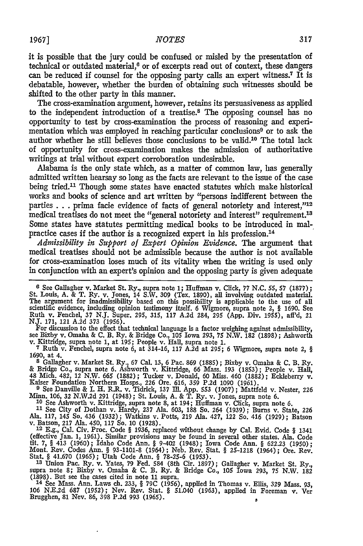it is possible that the jury could be confused or misled **by** the presentation of technical or outdated material, $6$  or of excerpts read out of context, these dangers can be reduced if counsel for the opposing party calls an expert witness.7 It **is** debatable, however, whether the burden of obtaining such witnesses should be shifted to the other party in this manner.

The cross-examination argument, however, retains its persuasiveness as applied to the independent introduction of a treatise.8 The opposing counsel has no opportunity to test **by** cross-examination the process of reasoning and experimentation which was employed in reaching particular conclusions9 or to ask the author whether he still believes those conclusions to be valid.10 The total lack of opportunity for cross-examination makes the admission of authoritative writings at trial without expert corroboration undesirable.

Alabama is the only state which, as a matter of common law, has generally admitted written hearsay so long as the facts are relevant to the issue of the case being tried.<sup>11</sup> Though some states have enacted statutes which make historical works and books of science and art written **by** "persons indifferent between the parties . . . prima facie evidence of facts of general notoriety and interest,"<sup>12</sup> medical treatises do not meet the "general notoriety and interest" requirement.<sup>13</sup> Some states have statutes permitting medical books to be introduced in malpractice cases if the author is a recognized expert in his profession.14

*Admissibility in Support of Expert Opinion Evidence.* The argument that medical treatises should not be admissible because the author is not available for cross-examination loses much of its vitality when the writing is used only in conjunction with an expert's opinion and the opposing party is given adequate

**6** See Gallagher v. Market St. Ry., supra note 1; Huffman v. Click, 77 N.C. *55,* 57 (1877); St. Louis, A. & T. Ry. v. Jones, 14 S.W. 309 (Tex. 1890), all involving outdated material. The argument for inadmissibility based on this possibility is applicable to the use of all scientific evidence, including opinion testimony itself. 6 Wigmore, supra note 2, § 1690. See Ruth v. Fenchel, 37 N.J. Super. **295,** 315, 117 A.2d 284, 295 **(App.** Div. 1955), aff'd, 21

N.J. 171, 121 A.2d 373 (1956).<br>
For discussion to the effect that technical language is a factor weighing against admissibility,<br>
see Bixby v. Omaha & C. B. Ry. & Bridge Co., 105 Iowa 293, 75 N.W. 182 (1898); Ashworth<br>
v.

1690, at 4. **<sup>8</sup>**Gallagher v. Market St. Ry., 67 Cal. 13, 6 Pac. 869 (1885); Bixby v. Omaha & C. B. Ry.

& Bridge Co., supra note 6. Ashworth v. Kittridge, 66 Mass. 193 (1853); People v. Hall, 48 Mich. 482, 12 N.W. 665 (1882); Tucker v. Donald, 60 Miss. 460 (1882); Eckleberry v. Kaiser Foundation Northern Hosps., 226 Ore. 616

See Danville & I. H. R.R. v. Tidrick, 137 Ill. App. 553 (1907); Mattfeld v. Nester, 226<br>Minn. 106, 32 N.W.2d 291 (1948); St. Louis, A. & T. Ry. v. Jones, supra note 6.<br>10 See Ashworth v. Kittridge. supra note 8. at 194: Hu

**<sup>11</sup>**See City of Dothan v. Hardy, 237 Ala. 603, 188 So. 264 (1939); Burns v. State, 226 Ala. 117, 145 So. 436 (1932); Watkins v. Potts, 219 Ala. 427, 122 So. 416 (1929); Batson<br>v. Batson, 217 Ala. 450, 117 So. 10 (1928).<br>12 E.g., Cal. Civ. Proc. Code 8 1936, replaced without change by Cal. Evid. Code 8 1341

(effective Jan. 1, 1961). Similar provisions may be found in several other states. Ala. Code tit. 7, § 413 (1960); Idaho Code Ann. § 9-402 (1948); Iowa Code Ann. § 622.23 (1950); Mont. Rev. Codes Ann. § 93-1101-8 (1964); Neb. Rev. Stat. § 25-1218 (1964); Ore. Rev.<br>Stat. § 41.670 (1965); Utah Code Ann. § 78-25-6 (1953).<br><sup>13</sup> Union Pac. Ry. v. Yates, 79 Fed. 584 (8th Cir. 1897); Gallagher v. Market S

(1898). But see the cases cited in note 11 supra.

**<sup>14</sup>**See Mass. Ann. Laws ch. 233, § 79C (1956), applied in Thomas v. Ellis, 329 Mass. 93, 106 N.E.2d 687 (1952); Nev. Rev. Stat. § 51.040 (1963), applied in Foreman v. Ver Brugghen, 81 Nev. 86, 398 **P.2d 993** (1965). **a**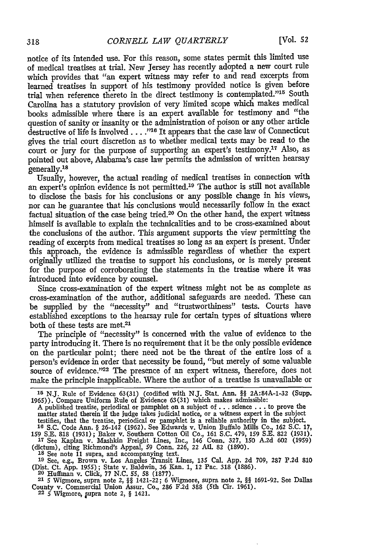notice of its intended use. For this reason, some states permit this limited use of medical treatises at trial. New Jersey has recently adopted a new court rule which provides that "an expert witness may refer to and read excerpts from learned treatises in support of his testimony provided notice is given before trial when reference thereto in the direct testimony is contemplated."<sup>15</sup> South Carolina has a statutory provision of very limited scope which makes medical books admissible where there is an expert available for testimony and "the question of sanity or insanity or the administration of poison or any other article destructive of life is involved. **.. ."16** It appears that the case law of Connecticut gives the trial court discretion as to whether medical texts may be read to the court or jury for the purpose of supporting an expert's testimony.<sup>17</sup> Also, as pointed out above, Alabama's case law permits the admission of written hearsay generally.<sup>18</sup>

Usually, however, the actual reading of medical treatises in connection with an expert's opimon evidence is not permitted.<sup>19</sup> The author is still not available to disclose the basis for his conclusions or any possible change in his views, nor can he guarantee that his conclusions would necessarily follow in the exact factual situation of the case being tried.<sup>20</sup> On the other hand, the expert witness himself is available to explain the technicalities and to be cross-examined about the conclusions of the author. This argument supports the view permitting the reading of excerpts from medical treatises so long as an expert is present. Under this approach, the evidence is admissible regardless of whether the expert originally utilized the treatise to support his conclusions, or is merely present for the purpose of corroborating the statements in the treatise where it was introduced into evidence by counsel.

Since cross-examination of the expert witness might not be as complete as cross-examination of the author, additional safeguards are needed. These can be supplied by the "necessity" and "trustworthiness" tests. Courts have established exceptions to the hearsay rule for certain types of situations where both of these tests are met.<sup>21</sup>

The principle of "necessity" is concerned with the value of evidence to the party introducing it. There is no requirement that it be the only possible evidence on the particular point; there need not be the threat of the entire loss of a person's evidence in order that necessity be found, "but merely of some valuable source of evidence."<sup>22</sup> The presence of an expert witness, therefore, does not make the principle inapplicable. Where the author of a treatise is unavailable or

matter stated therein if the judge takes judicial notice, or a witness expert in the subject testifies, that the treatise, periodical or pamphlet is a reliable authority in the subject. **<sup>16</sup>**S.C. Code Ann. *§* 26-142 (1962). See Edwards v. Union Buffalo Mills Co., 162 S.C. 17,

159 S.E. 818 (1931); Baker v. Southern Cotton Oil Co., 161 S.C. 479, 159 S.E. 822 (1931). **<sup>17</sup>**See Kaplan v. Mashkin Freight Lines, Inc., 146 Conn. 327, 150 A.2d 602 (1959) (dictum), citing Richmond's Appeal, 59 Conn. 226, 22 Ati. 82 (1890).

**18** See note 11 supra, and accompanying text.

**<sup>19</sup>**See, e.g., Brown v. Los Angeles Transit Lines, 135 Cal. App. 2d 709, 287 P.2d 810 (Dist. Ct. App. 1955); State v. Baldwin, 36 Kan. 1, 12 Pac. 318 (1886). **20** Huffman v. Click, 77 N.C. 55, 58 (1877). 21 5 Wigmore, supra note 2, *§§* 1421-22; 6 Wigmore, supra note 2, *§§* 1691-92. See Dallas

County v. Commercial Union Assur. Co., 286 F.2d 388 (5th Cir. 1961). 22 5 Wigmore, upra note 2, § 1421.

<sup>&</sup>lt;sup>15</sup> N.J. Rule of Evidence 63(31) (codified with N.J. Stat. Ann. §§ 2A:84A-1-32 (Supp. 1965)). Compare Uniform Rule of Evidence 63(31) which makes admissible:<br>A published treatise, periodical or pamphlet on a subject of .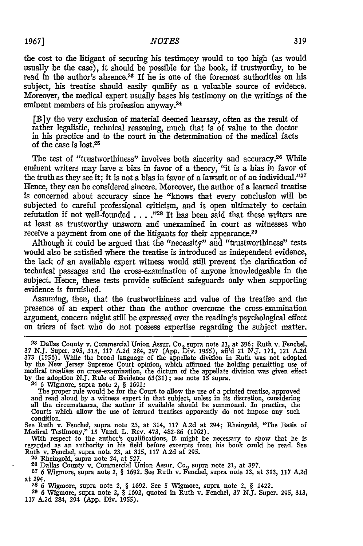#### **1967]** *NOTES*

the cost to the litigant of securing his testimony would to too high (as would usually be the case), it should be possible for the book, if trustworthy, to be read in the author's absence.23 If he is one of the foremost authorities on his subject, his treatise should easily qualify as a valuable source of evidence. Moreover, the medical expert usually bases his testimony on the writings of the eminent members of his profession anyway.<sup>24</sup>

[B]y the very exclusion of material deemed hearsay, often as the result of rather legalistic, technical reasoning, much that is of value to the doctor in his practice and to the court in the determination of the medical facts of the case is lost.<sup>25</sup>

The test of "trustworthiness" involves both sincerity and accuracy.<sup>26</sup> While eminent writers may have a bias in favor of a theory, "it is a bias in favor of the truth as they see it; it is not a bias in favor of a lawsuit or of an individual." $27$ Hence, they can be considered sincere. Moreover, the author of a learned treatise is concerned about accuracy since he "knows that every conclusion will be subjected to careful professional criticism, and is open ultimately to certain refutation if not well-founded . . . .<sup>728</sup> It has been said that these writers are at least as trustworthy unsworn and unexamined in court as witnesses who receive a payment from one of the litigants for their appearance.<sup>29</sup>

Although it could be argued that the "necessity" and "trustworthiness" tests would also be satisfied where the treatise is introduced as independent evidence, the lack of an available expert witness would still prevent the clarification of technical passages and the cross-examination of anyone knowledgeable in the subject. Hence, these tests provide sufficient safeguards only when supporting evidence is furnished.

Assuming, then, that the trustworthiness and value of the treatise and the presence of an expert other than the author overcome the cross-examination argument, concern might still be expressed over the reading's psychological effect on triers of fact who do not possess expertise regarding the subject matter.

The proper rule would be for the Court to allow the use of a printed treatise, approved<br>and read aloud by a witness expert in that subject, unless in its discretion, considering<br>all the circumstances, the author if availab condition.

See Ruth v. Fenchel, supra note **23,** at 314, 117 A.2d at 294; Rheingold, "The Basis of

Medical Testimony," 15 Vand. L. Rev. 473, 482-86 (1962).<br>With respect to the author's qualifications, it might be necessary to show that he is<br>regarded as an authority in his field before excerpts from his book could be re *25* Rheingold, supra note 24, at 527. **26** Dallas County v. Commercial Union Assur. Co., supra note 21, at 397.

**27** 6 Wigmore, supra note 2, § 1692. See Ruth v. Fenchel, supra note **23,** at 313, 117 A.2d at 294.

**28** 6 Wigmore, supra note 2, § 1692. See 5 Wigmore, supra note 2, § 1422. **29** 6 Wigmore, supra note 2, § 1692, quoted in Ruth v. Fenchel, 37 N.J. Super. **295,** 313,

117 A.2d 284, 294 (App. Div. 1955).

**<sup>23</sup>**Dallas County v. Commercial Union Assur. Co., supra note 21, at **396;** Ruth v. Fenchel, 37 N.J. Super. 295, 318, 117 A.2d 284, 297 (App. Div. 1955), aff'd 21 N.J. 171, 121 A.2d 373 (1956). While the broad language of the appellate division in Ruth was not adopted by the New Jersey Supreme Court opinion, whic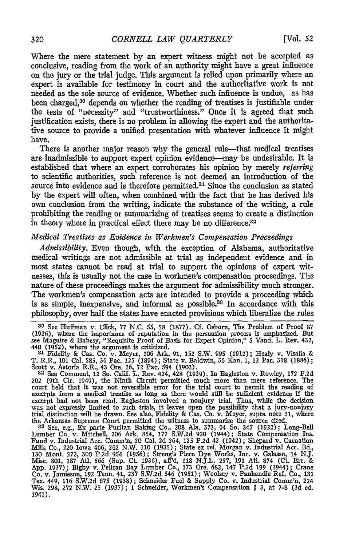Where the mere statement **by** an expert witness might not be accepted as conclusive, reading from the work of an authority might have a great influence on the jury or the trial judge. This argument is relied upon primarily where an expert is available for testimony in court and the authoritative work is not needed as the sole source of evidence. Whether such influence is undue, as has been charged,<sup>30</sup> depends on whether the reading of treatises is justifiable under the tests of "necessity" and "trustworthiness." Once it is agreed that such justification exists, there is no problem in allowing the expert and the authoritative source to provide a unified presentation with whatever influence it might have.

There is another major reason why the general rule-that medical treatises are inadmissible to support expert opinion evidence-may be undesirable. It is established that where an expert corroborates his opinion by merely *referring* to scientific authorities, such reference is not deemed an introduction of the source into evidence and is therefore permitted.<sup>31</sup> Since the conclusion as stated by the expert will often, when combined with the fact that he has derived his own conclusion from the writing, indicate the substance of the writing, a rule prohibiting the reading or summarizing of treatises seems to create a distinction in theory where in practical effect there may be no difference.<sup>32</sup>

#### *Medical Treatises as Evidence in Workmen's Compensation Proceedings*

*Admissibility.* Even though, with the exception of Alabama, authoritative medical writings are not admissible at trial as independent evidence and in most states cannot be read at trial to support the opinions of expert witnesses, this is usually not the case in workmen's compensation proceedings. The nature of these proceedings makes the argument for admissibility much stronger. The workmen's compensation acts are intended to provide a proceeding which is as simple, inexpensive, and informal as possible.<sup>33</sup> In accordance with this philosophy, over half the states have enacted provisions which liberalize the rules

**30** See Huffman v. Click, 77 **N.C. 55, 58 (1877). Cf.** Osborn, The Problem of Proof **87** (1926), where the importance of reputation in the persuasion process is emphasized. But see Maguire & Hahesy, "Requisite Proof of Basis for Expert Opinion," **5** Vand. L. Rev. 432, 440 **(1952),** where the argument is criticized. **31** Fidelity & Cas. Co. v. Meyer, **106** Ark. **91,** 152 S.W. 995 (1912); Healy v. Visalia &

T. R.R., **101** Cal. **585,** 36 Pac. 125 (1894) **;** State v. Baldwin, 36 Kan. **1,** 12 Pac. **318 (1886);** Scott v. Astoria R.R., 43 Ore. **26, 72** Pac. 594 **(1903). <sup>32</sup>**See Comment, 12 So. Calif. L. Rev. 424, 428 (1939). In Eagleston v. Rowley, **172 F.2d**

202 (9th Cir. 1949), the Ninth Circuit permitted much more than mere reference. The court held that it was not reversible error for the trial court to permit the reading of<br>excerpts from a medical treatise as long as there would still be sufficient evidence if the<br>excerpt had not been read. Eagleston invo was not expressly limited to such trials, it leaves open the possibility that a jury-nonjury trial distinction will be drawn. See also, Fidelity & Cas. Co. v. Meyer, supra note **31,** where

the Arkansas Supreme Court permitted the witness to summarize the source cited.<br>
<sup>33</sup> See, e.g., Ex parte Puritan Baking Co., 208 Ala. 373, 94 So. 347 (1922); Long-Bell<br>
Lumber Co. v. Mitchell, 206 Ark. 854, 177 S.W.2d 920 App. 1937); Bigby v. Pelican Bay Lumber Co., 173 Ore. 682, 147 P.2d 199 (1944); Crane Co. v. Jamieson, 192 Tenn. 41, 237 S.W.2d 546 (1951); Woolsey v. Panhandle Ref. Co., 131 Tex. 449, 116 S.W.2d 675 (1938); Schneider Fuel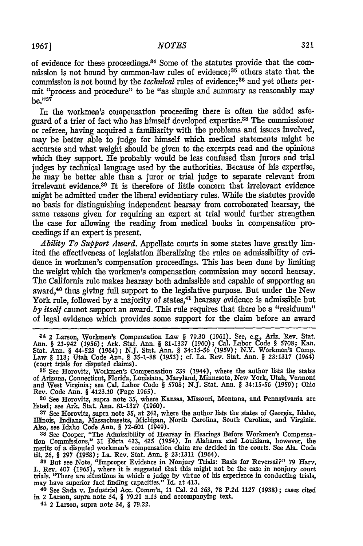#### **1967** *NOTES*

of evidence for these proceedings.<sup>34</sup> Some of the statutes provide that the commission is not bound by common-law rules of evidence; 35 others state that the commission is not bound by the *technical* rules of evidence; 36 and yet others permit "process and procedure" to be "as simple and summary as reasonably may  $be. "37"$ 

In the workmen's compensation proceeding there is often the added safeguard of a trier of fact who has himself developed expertise.38 The commissioner or referee, having acquired a familiarity with the problems and issues involved, may be better able to judge for himself which medical statements might be accurate and what weight should be given to the excerpts read and the opinions which they support. He probably would be less confused than jurors and trial judges by technical language used by the authorities. Because of his expertise, he may be better able than a juror or trial judge to separate relevant from irrelevant evidence.<sup>39</sup> It is therefore of little concern that irrelevant evidence might be admitted under the liberal evidentiary rules. While the statutes provide no basis for distinguishing independent hearsay from corroborated hearsay, the same reasons given for requiring an expert at trial would further strengthen the case for allowing the reading from medical books in compensation proceedings if an expert is present.

*Ability To Support Award.* Appellate courts in some states have greatly limited the effectiveness of legislation liberalizing the rules on admissibility of evidence in workmen's compensation proceedings. This has been done by limiting the weight which the workmen's compensation commission may accord hearsay. The California rule makes hearsay both admissible and capable of supporting an award,40 thus giving full support to the legislative purpose. But under the New York rule, followed by a majority of states,<sup>41</sup> hearsay evidence is admissible but *by itself* cannot support an award. This rule requires that there be a "residuum" of legal evidence which provides some support for the claim before an award

**35** See Horovitz, Workmen's Compensation 239 (1944), where the author lists the states of Arizona, Connecticut, Florida, Louisiana, Maryland, Minnesota, New York, Utah, Vermont and West Virginia; see Cal. Labor Code § 5708; NJ. Stat. Ann. § 34:15-56 (1959); Ohio Rev. Code Ann. § 4123.10 (Page 1965). **<sup>36</sup>**See Horovitz, supra note **35,** where Kansas, Missouri, Montana, and Pennsylvania are

<sup>36</sup> See Horovitz, supra note 35, where Kansas, Missouri, Montana, and Pennsylvama are listed; see Ark. Stat. Ann. 81-1327 (1960).

**37** See Horovitz, supra note 35, at 242, where the author lists the states of Georgia, Idaho, Illinois, Indiana, Massachusetts, Michigan, North Carolina, South Carolina, and Virginia. Also, see Idaho Code Ann. § 72-601 (1949).

<sup>38</sup> See Cooper, "The Admissibility of Hearsay in Hearings Before Workmen's Compensation Commissions," 31 Dicta 423, 425 (1954). In Alabama and Louisiana, however, the merits of a disputed workmen's compensation claim are fit. **26,** § **297** (1958); La. Rev. Stat. Ann. § 23:1311 (1964).

<sup>39</sup> But see Note, "Improper Evidence in Nonjury Trials: Basis for Reversal?" 79 Harv.<br>L. Rev. 407 (1965), where it is suggested that this might not be the case in nonjury court<br>trials. "There are situations in which a jud may have superior fact finding capacities." Id. at 413.

**40** See Sada v. Industrial Acc. Comm'n, 11 Cal. 2d 263, 78 P.2d 1127 (1938); cases cited in 2 Larson, supra note 34, § **79.21** n.13 and accompanying text.

41 2 Larson, supra note 34, § **79.22.**

<sup>34 2</sup> Larson, Workmen's Compensation Law § 79.30 (1961). See, e.g., Ariz. Rev. Stat. Ann. § 23-942 (1956); Ark. Stat. Ann. § 81-1327 (1960); Cal. Labor Code § 5708; Kan.<br>Stat. Ann. § 44-523 (1964); N.J. Stat. Ann. § 34:15-56 (1959); N.Y. Workmen's Comp.<br>Law § 118; Utah Code Ann. § 35-1-88 (1953); cf. La. R (court trials for disputed claims).